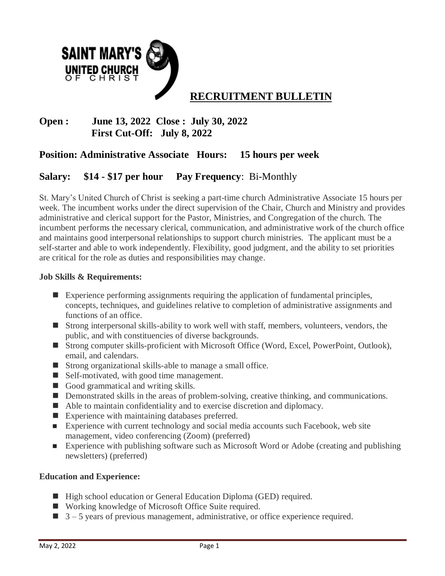

# **Open : June 13, 2022 Close : July 30, 2022 First Cut-Off: July 8, 2022**

## **Position: Administrative Associate Hours: 15 hours per week**

## **Salary: \$14 - \$17 per hour Pay Frequency**: Bi-Monthly

St. Mary's United Church of Christ is seeking a part-time church Administrative Associate 15 hours per week. The incumbent works under the direct supervision of the Chair, Church and Ministry and provides administrative and clerical support for the Pastor, Ministries, and Congregation of the church. The incumbent performs the necessary clerical, communication, and administrative work of the church office and maintains good interpersonal relationships to support church ministries. The applicant must be a self-starter and able to work independently. Flexibility, good judgment, and the ability to set priorities are critical for the role as duties and responsibilities may change.

#### **Job Skills & Requirements:**

- **Experience performing assignments requiring the application of fundamental principles,** concepts, techniques, and guidelines relative to completion of administrative assignments and functions of an office.
- Strong interpersonal skills-ability to work well with staff, members, volunteers, vendors, the public, and with constituencies of diverse backgrounds.
- Strong computer skills-proficient with Microsoft Office (Word, Excel, PowerPoint, Outlook), email, and calendars.
- Strong organizational skills-able to manage a small office.
- Self-motivated, with good time management.
- Good grammatical and writing skills.
- Demonstrated skills in the areas of problem-solving, creative thinking, and communications.
- Able to maintain confidentiality and to exercise discretion and diplomacy.
- Experience with maintaining databases preferred.
- Experience with current technology and social media accounts such Facebook, web site management, video conferencing (Zoom) (preferred)
- Experience with publishing software such as Microsoft Word or Adobe (creating and publishing newsletters) (preferred)

#### **Education and Experience:**

- High school education or General Education Diploma (GED) required.
- Working knowledge of Microsoft Office Suite required.
- $\Box$  3 5 years of previous management, administrative, or office experience required.